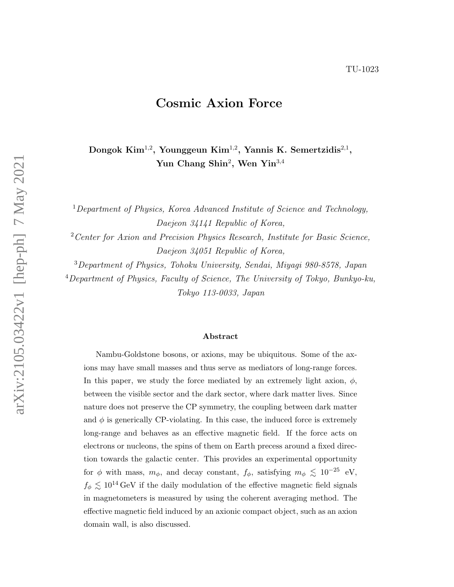# Cosmic Axion Force

Dongok Kim $^{1,2}$ , Younggeun Kim $^{1,2}$ , Yannis K. Semertzidis $^{2,1}$ , Yun Chang Shin<sup>2</sup>, Wen Yin<sup>3,4</sup>

<sup>1</sup>Department of Physics, Korea Advanced Institute of Science and Technology, Daejeon 34141 Republic of Korea,

<sup>2</sup> Center for Axion and Precision Physics Research, Institute for Basic Science, Daejeon 34051 Republic of Korea,

<sup>3</sup>Department of Physics, Tohoku University, Sendai, Miyagi 980-8578, Japan

<sup>4</sup>Department of Physics, Faculty of Science, The University of Tokyo, Bunkyo-ku, Tokyo 113-0033, Japan

#### Abstract

Nambu-Goldstone bosons, or axions, may be ubiquitous. Some of the axions may have small masses and thus serve as mediators of long-range forces. In this paper, we study the force mediated by an extremely light axion,  $\phi$ , between the visible sector and the dark sector, where dark matter lives. Since nature does not preserve the CP symmetry, the coupling between dark matter and  $\phi$  is generically CP-violating. In this case, the induced force is extremely long-range and behaves as an effective magnetic field. If the force acts on electrons or nucleons, the spins of them on Earth precess around a fixed direction towards the galactic center. This provides an experimental opportunity for  $\phi$  with mass,  $m_{\phi}$ , and decay constant,  $f_{\phi}$ , satisfying  $m_{\phi} \lesssim 10^{-25}$  eV,  $f_{\phi} \lesssim 10^{14} \text{ GeV}$  if the daily modulation of the effective magnetic field signals in magnetometers is measured by using the coherent averaging method. The effective magnetic field induced by an axionic compact object, such as an axion domain wall, is also discussed.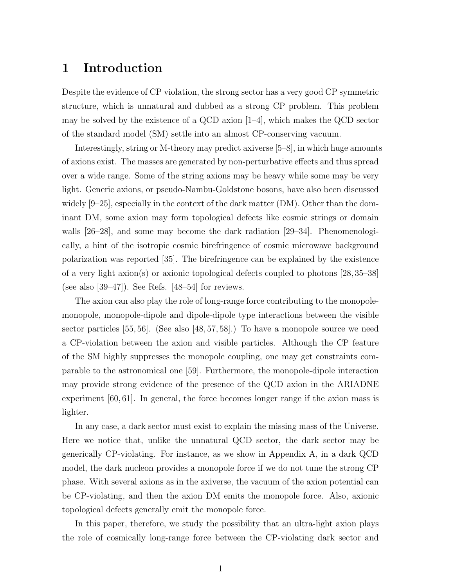## 1 Introduction

Despite the evidence of CP violation, the strong sector has a very good CP symmetric structure, which is unnatural and dubbed as a strong CP problem. This problem may be solved by the existence of a QCD axion  $[1-4]$ , which makes the QCD sector of the standard model (SM) settle into an almost CP-conserving vacuum.

Interestingly, string or M-theory may predict axiverse [5–8], in which huge amounts of axions exist. The masses are generated by non-perturbative effects and thus spread over a wide range. Some of the string axions may be heavy while some may be very light. Generic axions, or pseudo-Nambu-Goldstone bosons, have also been discussed widely [9–25], especially in the context of the dark matter (DM). Other than the dominant DM, some axion may form topological defects like cosmic strings or domain walls [26–28], and some may become the dark radiation [29–34]. Phenomenologically, a hint of the isotropic cosmic birefringence of cosmic microwave background polarization was reported [35]. The birefringence can be explained by the existence of a very light axion(s) or axionic topological defects coupled to photons [28, 35–38] (see also  $[39-47]$ ). See Refs.  $[48-54]$  for reviews.

The axion can also play the role of long-range force contributing to the monopolemonopole, monopole-dipole and dipole-dipole type interactions between the visible sector particles [55, 56]. (See also [48, 57, 58].) To have a monopole source we need a CP-violation between the axion and visible particles. Although the CP feature of the SM highly suppresses the monopole coupling, one may get constraints comparable to the astronomical one [59]. Furthermore, the monopole-dipole interaction may provide strong evidence of the presence of the QCD axion in the ARIADNE experiment [60, 61]. In general, the force becomes longer range if the axion mass is lighter.

In any case, a dark sector must exist to explain the missing mass of the Universe. Here we notice that, unlike the unnatural QCD sector, the dark sector may be generically CP-violating. For instance, as we show in Appendix A, in a dark QCD model, the dark nucleon provides a monopole force if we do not tune the strong CP phase. With several axions as in the axiverse, the vacuum of the axion potential can be CP-violating, and then the axion DM emits the monopole force. Also, axionic topological defects generally emit the monopole force.

In this paper, therefore, we study the possibility that an ultra-light axion plays the role of cosmically long-range force between the CP-violating dark sector and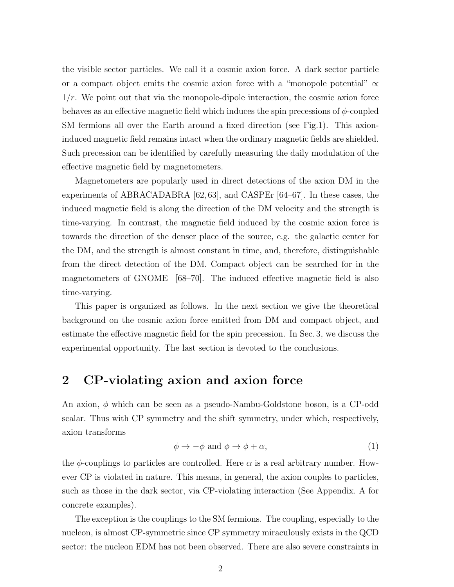the visible sector particles. We call it a cosmic axion force. A dark sector particle or a compact object emits the cosmic axion force with a "monopole potential"  $\propto$  $1/r$ . We point out that via the monopole-dipole interaction, the cosmic axion force behaves as an effective magnetic field which induces the spin precessions of  $\phi$ -coupled SM fermions all over the Earth around a fixed direction (see Fig.1). This axioninduced magnetic field remains intact when the ordinary magnetic fields are shielded. Such precession can be identified by carefully measuring the daily modulation of the effective magnetic field by magnetometers.

Magnetometers are popularly used in direct detections of the axion DM in the experiments of ABRACADABRA [62, 63], and CASPEr [64–67]. In these cases, the induced magnetic field is along the direction of the DM velocity and the strength is time-varying. In contrast, the magnetic field induced by the cosmic axion force is towards the direction of the denser place of the source, e.g. the galactic center for the DM, and the strength is almost constant in time, and, therefore, distinguishable from the direct detection of the DM. Compact object can be searched for in the magnetometers of GNOME [68–70]. The induced effective magnetic field is also time-varying.

This paper is organized as follows. In the next section we give the theoretical background on the cosmic axion force emitted from DM and compact object, and estimate the effective magnetic field for the spin precession. In Sec. 3, we discuss the experimental opportunity. The last section is devoted to the conclusions.

# 2 CP-violating axion and axion force

An axion,  $\phi$  which can be seen as a pseudo-Nambu-Goldstone boson, is a CP-odd scalar. Thus with CP symmetry and the shift symmetry, under which, respectively, axion transforms

$$
\phi \to -\phi \text{ and } \phi \to \phi + \alpha,\tag{1}
$$

the  $\phi$ -couplings to particles are controlled. Here  $\alpha$  is a real arbitrary number. However CP is violated in nature. This means, in general, the axion couples to particles, such as those in the dark sector, via CP-violating interaction (See Appendix. A for concrete examples).

The exception is the couplings to the SM fermions. The coupling, especially to the nucleon, is almost CP-symmetric since CP symmetry miraculously exists in the QCD sector: the nucleon EDM has not been observed. There are also severe constraints in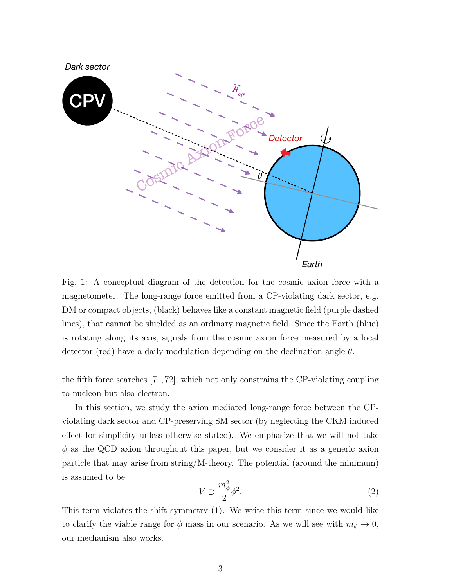

Fig. 1: A conceptual diagram of the detection for the cosmic axion force with a magnetometer. The long-range force emitted from a CP-violating dark sector, e.g. DM or compact objects, (black) behaves like a constant magnetic field (purple dashed lines), that cannot be shielded as an ordinary magnetic field. Since the Earth (blue) is rotating along its axis, signals from the cosmic axion force measured by a local detector (red) have a daily modulation depending on the declination angle  $\theta$ .

the fifth force searches [71, 72], which not only constrains the CP-violating coupling to nucleon but also electron.

In this section, we study the axion mediated long-range force between the CPviolating dark sector and CP-preserving SM sector (by neglecting the CKM induced effect for simplicity unless otherwise stated). We emphasize that we will not take  $\phi$  as the QCD axion throughout this paper, but we consider it as a generic axion particle that may arise from string/M-theory. The potential (around the minimum) is assumed to be

$$
V \supset \frac{m_{\phi}^2}{2} \phi^2. \tag{2}
$$

This term violates the shift symmetry (1). We write this term since we would like to clarify the viable range for  $\phi$  mass in our scenario. As we will see with  $m_{\phi} \to 0$ , our mechanism also works.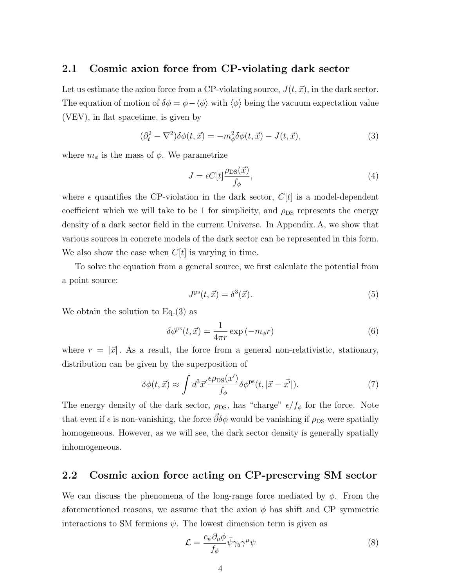## 2.1 Cosmic axion force from CP-violating dark sector

Let us estimate the axion force from a CP-violating source,  $J(t, \vec{x})$ , in the dark sector. The equation of motion of  $\delta \phi = \phi - \langle \phi \rangle$  with  $\langle \phi \rangle$  being the vacuum expectation value (VEV), in flat spacetime, is given by

$$
(\partial_t^2 - \nabla^2)\delta\phi(t, \vec{x}) = -m_\phi^2 \delta\phi(t, \vec{x}) - J(t, \vec{x}),\tag{3}
$$

where  $m_{\phi}$  is the mass of  $\phi$ . We parametrize

$$
J = \epsilon C[t] \frac{\rho_{\text{DS}}(\vec{x})}{f_{\phi}},\tag{4}
$$

where  $\epsilon$  quantifies the CP-violation in the dark sector,  $C[t]$  is a model-dependent coefficient which we will take to be 1 for simplicity, and  $\rho_{\text{DS}}$  represents the energy density of a dark sector field in the current Universe. In Appendix. A, we show that various sources in concrete models of the dark sector can be represented in this form. We also show the case when  $C[t]$  is varying in time.

To solve the equation from a general source, we first calculate the potential from a point source:

$$
Jps(t, \vec{x}) = \delta^3(\vec{x}).
$$
\n(5)

We obtain the solution to Eq.(3) as

$$
\delta \phi^{\mathrm{ps}}(t, \vec{x}) = \frac{1}{4\pi r} \exp(-m_{\phi}r) \tag{6}
$$

where  $r = |\vec{x}|$ . As a result, the force from a general non-relativistic, stationary, distribution can be given by the superposition of

$$
\delta\phi(t,\vec{x}) \approx \int d^3\vec{x}' \frac{\epsilon \rho_{\rm DS}(x')}{f_\phi} \delta\phi^{\rm ps}(t,|\vec{x}-\vec{x'}|). \tag{7}
$$

The energy density of the dark sector,  $\rho_{DS}$ , has "charge"  $\epsilon/f_{\phi}$  for the force. Note that even if  $\epsilon$  is non-vanishing, the force  $\bar{\partial}\delta\phi$  would be vanishing if  $\rho_{DS}$  were spatially homogeneous. However, as we will see, the dark sector density is generally spatially inhomogeneous.

## 2.2 Cosmic axion force acting on CP-preserving SM sector

We can discuss the phenomena of the long-range force mediated by  $\phi$ . From the aforementioned reasons, we assume that the axion  $\phi$  has shift and CP symmetric interactions to SM fermions  $\psi$ . The lowest dimension term is given as

$$
\mathcal{L} = \frac{c_{\psi}\partial_{\mu}\phi}{f_{\phi}}\bar{\psi}\gamma_{5}\gamma^{\mu}\psi\tag{8}
$$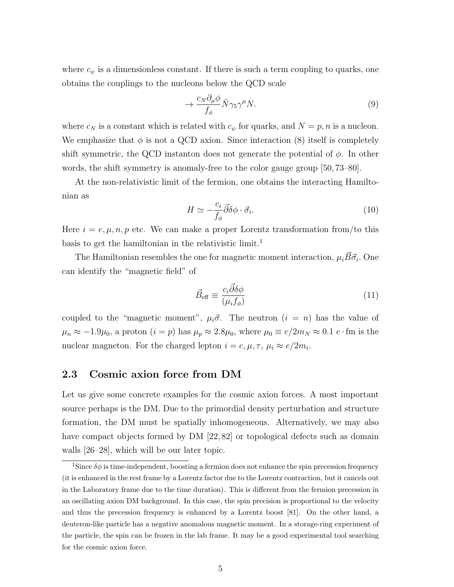where  $c_{\psi}$  is a dimensionless constant. If there is such a term coupling to quarks, one obtains the couplings to the nucleons below the QCD scale

$$
\to \frac{c_N \partial_\mu \phi}{f_\phi} \bar{N} \gamma_5 \gamma^\mu N. \tag{9}
$$

where  $c_N$  is a constant which is related with  $c_{\psi}$  for quarks, and  $N = p, n$  is a nucleon. We emphasize that  $\phi$  is not a QCD axion. Since interaction (8) itself is completely shift symmetric, the QCD instanton does not generate the potential of  $\phi$ . In other words, the shift symmetry is anomaly-free to the color gauge group [50, 73–80].

At the non-relativistic limit of the fermion, one obtains the interacting Hamiltonian as

$$
H \simeq -\frac{c_i}{f_\phi} \vec{\partial} \delta \phi \cdot \vec{\sigma}_i. \tag{10}
$$

Here  $i = e, \mu, n, p$  etc. We can make a proper Lorentz transformation from/to this basis to get the hamiltonian in the relativistic limit.<sup>1</sup>

The Hamiltonian resembles the one for magnetic moment interaction,  $\mu_i \vec{B} \vec{\sigma}_i$ . One can identify the "magnetic field" of

$$
\vec{B}_{\text{eff}} \equiv \frac{c_i \vec{\partial} \delta \phi}{(\mu_i f_\phi)}\tag{11}
$$

coupled to the "magnetic moment",  $\mu_i \vec{\sigma}$ . The neutron  $(i = n)$  has the value of  $\mu_n \approx -1.9\mu_0$ , a proton  $(i = p)$  has  $\mu_p \approx 2.8\mu_0$ , where  $\mu_0 \equiv e/2m_N \approx 0.1 e \cdot \text{fm}$  is the nuclear magneton. For the charged lepton  $i = e, \mu, \tau, \mu_i \approx e/2m_i$ .

### 2.3 Cosmic axion force from DM

Let us give some concrete examples for the cosmic axion forces. A most important source perhaps is the DM. Due to the primordial density perturbation and structure formation, the DM must be spatially inhomogeneous. Alternatively, we may also have compact objects formed by DM [22, 82] or topological defects such as domain walls [26–28], which will be our later topic.

<sup>&</sup>lt;sup>1</sup>Since  $\delta\phi$  is time-independent, boosting a fermion does not enhance the spin precession frequency (it is enhanced in the rest frame by a Lorentz factor due to the Lorentz contraction, but it cancels out in the Laboratory frame due to the time duration). This is different from the fermion precession in an oscillating axion DM background. In this case, the spin precision is proportional to the velocity and thus the precession frequency is enhanced by a Lorentz boost [81]. On the other hand, a deuteron-like particle has a negative anomalous magnetic moment. In a storage-ring experiment of the particle, the spin can be frozen in the lab frame. It may be a good experimental tool searching for the cosmic axion force.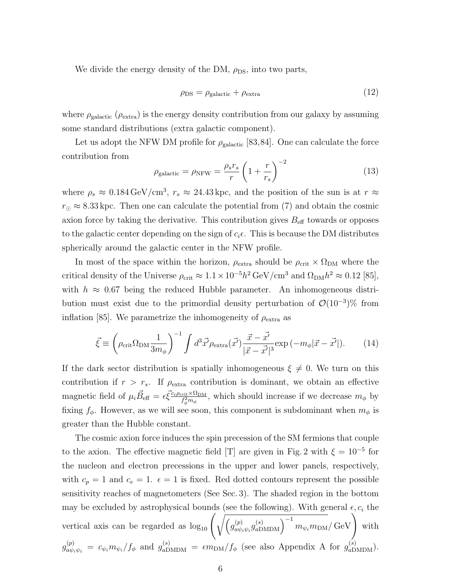We divide the energy density of the DM,  $\rho_{DS}$ , into two parts,

$$
\rho_{\rm DS} = \rho_{\rm galactic} + \rho_{\rm extra} \tag{12}
$$

where  $\rho_{\text{galactic}}$  ( $\rho_{\text{extra}}$ ) is the energy density contribution from our galaxy by assuming some standard distributions (extra galactic component).

Let us adopt the NFW DM profile for  $\rho_{\text{galactic}}$  [83,84]. One can calculate the force contribution from

$$
\rho_{\text{galactic}} = \rho_{\text{NFW}} = \frac{\rho_s r_s}{r} \left( 1 + \frac{r}{r_s} \right)^{-2} \tag{13}
$$

where  $\rho_s \approx 0.184 \,\text{GeV/cm}^3$ ,  $r_s \approx 24.43 \,\text{kpc}$ , and the position of the sun is at  $r \approx$  $r_{\odot} \approx 8.33$  kpc. Then one can calculate the potential from (7) and obtain the cosmic axion force by taking the derivative. This contribution gives  $B_{\text{eff}}$  towards or opposes to the galactic center depending on the sign of  $c_i \epsilon$ . This is because the DM distributes spherically around the galactic center in the NFW profile.

In most of the space within the horizon,  $\rho_{\text{extra}}$  should be  $\rho_{\text{crit}} \times \Omega_{\text{DM}}$  where the critical density of the Universe  $\rho_{\rm crit} \approx 1.1 \times 10^{-5} h^2 \text{ GeV/cm}^3$  and  $\Omega_{\rm DM} h^2 \approx 0.12$  [85], with  $h \approx 0.67$  being the reduced Hubble parameter. An inhomogeneous distribution must exist due to the primordial density perturbation of  $\mathcal{O}(10^{-3})\%$  from inflation [85]. We parametrize the inhomogeneity of  $\rho_{\text{extra}}$  as

$$
\vec{\xi} \equiv \left(\rho_{\rm crit}\Omega_{\rm DM}\frac{1}{3m_{\phi}}\right)^{-1} \int d^3\vec{x'} \rho_{\rm extra}(\vec{x'}) \frac{\vec{x} - \vec{x'}}{|\vec{x} - \vec{x'}|^3} \exp\left(-m_{\phi}|\vec{x} - \vec{x'}|\right). \tag{14}
$$

If the dark sector distribution is spatially inhomogeneous  $\xi \neq 0$ . We turn on this contribution if  $r > r_s$ . If  $\rho_{\text{extra}}$  contribution is dominant, we obtain an effective magnetic field of  $\mu_i \vec{B}_{\text{eff}} = \epsilon \vec{\xi}^{\frac{c_i \rho_{\text{crit}} \times \Omega_{\text{DM}}}{f_{\text{2}m_i}^2}$  $f_{\phi}^{\text{crit}} \times u_{\text{DM}}$ , which should increase if we decrease  $m_{\phi}$  by fixing  $f_{\phi}$ . However, as we will see soon, this component is subdominant when  $m_{\phi}$  is greater than the Hubble constant.

The cosmic axion force induces the spin precession of the SM fermions that couple to the axion. The effective magnetic field [T] are given in Fig. 2 with  $\xi = 10^{-5}$  for the nucleon and electron precessions in the upper and lower panels, respectively, with  $c_p = 1$  and  $c_e = 1$ .  $\epsilon = 1$  is fixed. Red dotted contours represent the possible sensitivity reaches of magnetometers (See Sec. 3). The shaded region in the bottom may be excluded by astrophysical bounds (see the following). With general  $\epsilon, c_i$  the vertical axis can be regarded as  $\log_{10} \left( \sqrt{\frac{g_{a\psi}^{(p)}}{g_{a\psi}^{(p)}}} \right)$  $\overline{u^{(p)}_{a\psi_i\psi_i} g^{(s)}_{a\text{DMDM}}}\Big)^{-1} m_{\psi_i m_{\text{DM}}}/\text{GeV}$  with  $g_{a\psi_i\psi_i}^{(p)} = c_{\psi_i} m_{\psi_i}/f_\phi$  and  $g_{a\text{DMDM}}^{(s)} = \epsilon m_{\text{DM}}/f_\phi$  (see also Appendix A for  $g_{a\text{DMDM}}^{(s)}$ ).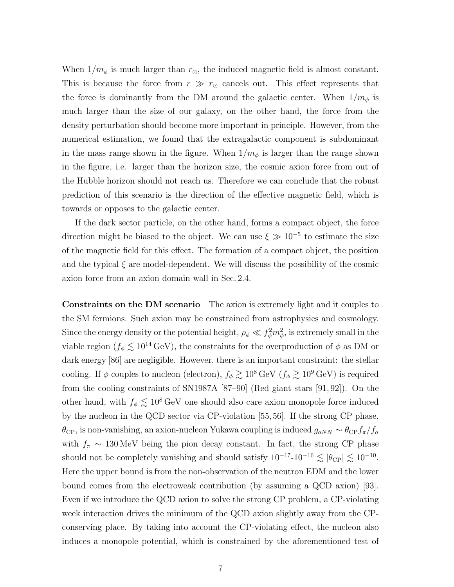When  $1/m_{\phi}$  is much larger than  $r_{\odot}$ , the induced magnetic field is almost constant. This is because the force from  $r \gg r_{\odot}$  cancels out. This effect represents that the force is dominantly from the DM around the galactic center. When  $1/m_{\phi}$  is much larger than the size of our galaxy, on the other hand, the force from the density perturbation should become more important in principle. However, from the numerical estimation, we found that the extragalactic component is subdominant in the mass range shown in the figure. When  $1/m_{\phi}$  is larger than the range shown in the figure, i.e. larger than the horizon size, the cosmic axion force from out of the Hubble horizon should not reach us. Therefore we can conclude that the robust prediction of this scenario is the direction of the effective magnetic field, which is towards or opposes to the galactic center.

If the dark sector particle, on the other hand, forms a compact object, the force direction might be biased to the object. We can use  $\xi \gg 10^{-5}$  to estimate the size of the magnetic field for this effect. The formation of a compact object, the position and the typical  $\xi$  are model-dependent. We will discuss the possibility of the cosmic axion force from an axion domain wall in Sec. 2.4.

Constraints on the DM scenario The axion is extremely light and it couples to the SM fermions. Such axion may be constrained from astrophysics and cosmology. Since the energy density or the potential height,  $\rho_{\phi} \ll f_{\phi}^2 m_{\phi}^2$ , is extremely small in the viable region ( $f_{\phi} \lesssim 10^{14} \text{ GeV}$ ), the constraints for the overproduction of  $\phi$  as DM or dark energy [86] are negligible. However, there is an important constraint: the stellar cooling. If  $\phi$  couples to nucleon (electron),  $f_{\phi} \gtrsim 10^8 \,\text{GeV}$  ( $f_{\phi} \gtrsim 10^9 \,\text{GeV}$ ) is required from the cooling constraints of SN1987A [87–90] (Red giant stars [91, 92]). On the other hand, with  $f_{\phi} \lesssim 10^8 \,\text{GeV}$  one should also care axion monopole force induced by the nucleon in the QCD sector via CP-violation [55, 56]. If the strong CP phase,  $\theta_{\rm CP}$ , is non-vanishing, an axion-nucleon Yukawa coupling is induced  $g_{aNN} \sim \theta_{\rm CP} f_\pi/f_a$ with  $f_{\pi} \sim 130 \,\text{MeV}$  being the pion decay constant. In fact, the strong CP phase should not be completely vanishing and should satisfy  $10^{-17}$ - $10^{-16} \lesssim |\theta_{\rm CP}| \lesssim 10^{-10}$ . Here the upper bound is from the non-observation of the neutron EDM and the lower bound comes from the electroweak contribution (by assuming a QCD axion) [93]. Even if we introduce the QCD axion to solve the strong CP problem, a CP-violating week interaction drives the minimum of the QCD axion slightly away from the CPconserving place. By taking into account the CP-violating effect, the nucleon also induces a monopole potential, which is constrained by the aforementioned test of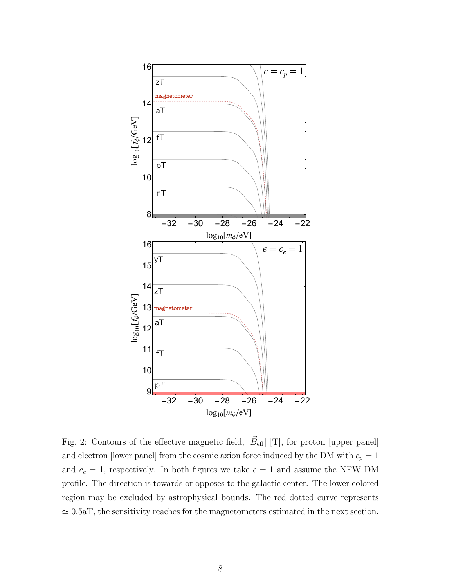

Fig. 2: Contours of the effective magnetic field,  $|\vec{B}_{\text{eff}}|$  [T], for proton [upper panel] and electron [lower panel] from the cosmic axion force induced by the DM with  $c_p = 1$ and  $c_e = 1$ , respectively. In both figures we take  $\epsilon = 1$  and assume the NFW DM profile. The direction is towards or opposes to the galactic center. The lower colored region may be excluded by astrophysical bounds. The red dotted curve represents  $\simeq 0.5$ aT, the sensitivity reaches for the magnetometers estimated in the next section.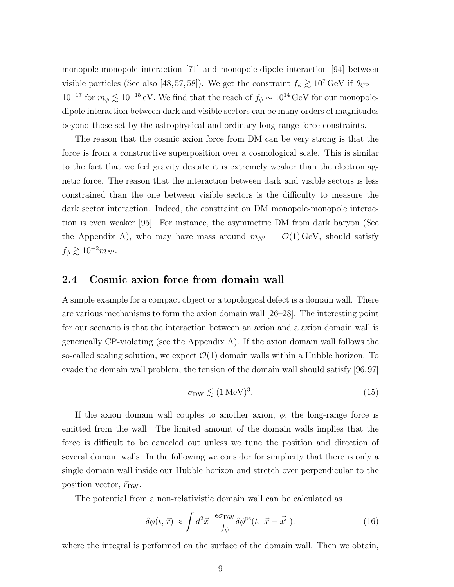monopole-monopole interaction [71] and monopole-dipole interaction [94] between visible particles (See also [48, 57, 58]). We get the constraint  $f_{\phi} \gtrsim 10^7 \text{ GeV}$  if  $\theta_{\text{CP}} =$  $10^{-17}$  for  $m_{\phi} \lesssim 10^{-15}$  eV. We find that the reach of  $f_{\phi} \sim 10^{14}$  GeV for our monopoledipole interaction between dark and visible sectors can be many orders of magnitudes beyond those set by the astrophysical and ordinary long-range force constraints.

The reason that the cosmic axion force from DM can be very strong is that the force is from a constructive superposition over a cosmological scale. This is similar to the fact that we feel gravity despite it is extremely weaker than the electromagnetic force. The reason that the interaction between dark and visible sectors is less constrained than the one between visible sectors is the difficulty to measure the dark sector interaction. Indeed, the constraint on DM monopole-monopole interaction is even weaker [95]. For instance, the asymmetric DM from dark baryon (See the Appendix A), who may have mass around  $m_{N'} = \mathcal{O}(1) \text{GeV}$ , should satisfy  $f_\phi \gtrsim 10^{-2} m_{N^\prime}.$ 

#### 2.4 Cosmic axion force from domain wall

A simple example for a compact object or a topological defect is a domain wall. There are various mechanisms to form the axion domain wall [26–28]. The interesting point for our scenario is that the interaction between an axion and a axion domain wall is generically CP-violating (see the Appendix A). If the axion domain wall follows the so-called scaling solution, we expect  $\mathcal{O}(1)$  domain walls within a Hubble horizon. To evade the domain wall problem, the tension of the domain wall should satisfy [96,97]

$$
\sigma_{\text{DW}} \lesssim (1 \,\text{MeV})^3. \tag{15}
$$

If the axion domain wall couples to another axion,  $\phi$ , the long-range force is emitted from the wall. The limited amount of the domain walls implies that the force is difficult to be canceled out unless we tune the position and direction of several domain walls. In the following we consider for simplicity that there is only a single domain wall inside our Hubble horizon and stretch over perpendicular to the position vector,  $\vec{r}_{DW}$ .

The potential from a non-relativistic domain wall can be calculated as

$$
\delta\phi(t,\vec{x}) \approx \int d^2\vec{x}_{\perp} \frac{\epsilon\sigma_{\rm DW}}{f_{\phi}} \delta\phi^{\rm ps}(t,|\vec{x}-\vec{x'}|). \tag{16}
$$

where the integral is performed on the surface of the domain wall. Then we obtain,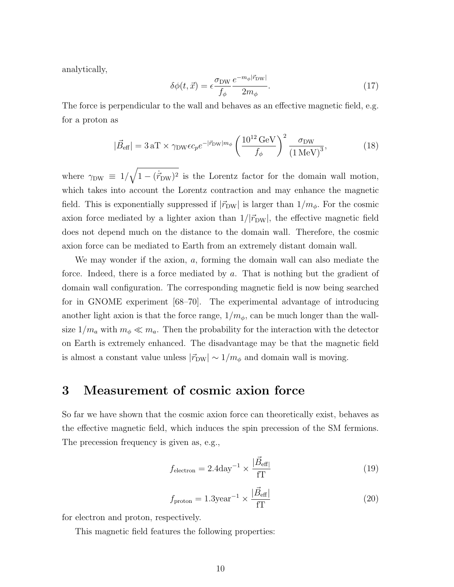analytically,

$$
\delta\phi(t,\vec{x}) = \epsilon \frac{\sigma_{\text{DW}}}{f_{\phi}} \frac{e^{-m_{\phi}|\vec{r}_{\text{DW}}|}}{2m_{\phi}}.
$$
\n(17)

The force is perpendicular to the wall and behaves as an effective magnetic field, e.g. for a proton as

$$
|\vec{B}_{\text{eff}}| = 3 \,\text{aT} \times \gamma_{\text{DW}} \epsilon c_p e^{-|\vec{r}_{\text{DW}}| m_{\phi}} \left(\frac{10^{12} \,\text{GeV}}{f_{\phi}}\right)^2 \frac{\sigma_{\text{DW}}}{\left(1 \,\text{MeV}\right)^3},\tag{18}
$$

where  $\gamma_{\text{DW}} \equiv 1/\sqrt{1-(\dot{r}_{\text{DW}})^2}$  is the Lorentz factor for the domain wall motion, which takes into account the Lorentz contraction and may enhance the magnetic field. This is exponentially suppressed if  $|\vec{r}_{DW}|$  is larger than  $1/m_{\phi}$ . For the cosmic axion force mediated by a lighter axion than  $1/|\vec{r}_{DW}|$ , the effective magnetic field does not depend much on the distance to the domain wall. Therefore, the cosmic axion force can be mediated to Earth from an extremely distant domain wall.

We may wonder if the axion, a, forming the domain wall can also mediate the force. Indeed, there is a force mediated by a. That is nothing but the gradient of domain wall configuration. The corresponding magnetic field is now being searched for in GNOME experiment [68–70]. The experimental advantage of introducing another light axion is that the force range,  $1/m_{\phi}$ , can be much longer than the wallsize  $1/m_a$  with  $m_\phi \ll m_a$ . Then the probability for the interaction with the detector on Earth is extremely enhanced. The disadvantage may be that the magnetic field is almost a constant value unless  $|\vec{r}_{DW}| \sim 1/m_\phi$  and domain wall is moving.

## 3 Measurement of cosmic axion force

So far we have shown that the cosmic axion force can theoretically exist, behaves as the effective magnetic field, which induces the spin precession of the SM fermions. The precession frequency is given as, e.g.,

$$
f_{\text{electron}} = 2.4 \text{day}^{-1} \times \frac{|\vec{B}_{\text{eff}}|}{f\text{T}}
$$
 (19)

$$
f_{\text{proton}} = 1.3 \text{year}^{-1} \times \frac{|\vec{B}_{\text{eff}}|}{f\Gamma} \tag{20}
$$

for electron and proton, respectively.

This magnetic field features the following properties: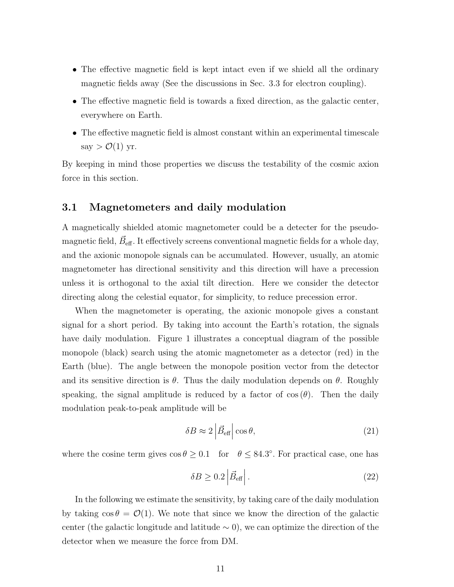- The effective magnetic field is kept intact even if we shield all the ordinary magnetic fields away (See the discussions in Sec. 3.3 for electron coupling).
- The effective magnetic field is towards a fixed direction, as the galactic center, everywhere on Earth.
- The effective magnetic field is almost constant within an experimental timescale say  $> O(1)$  yr.

By keeping in mind those properties we discuss the testability of the cosmic axion force in this section.

## 3.1 Magnetometers and daily modulation

A magnetically shielded atomic magnetometer could be a detecter for the pseudomagnetic field,  $\vec{B}_{\text{eff}}$  . It effectively screens conventional magnetic fields for a whole day, and the axionic monopole signals can be accumulated. However, usually, an atomic magnetometer has directional sensitivity and this direction will have a precession unless it is orthogonal to the axial tilt direction. Here we consider the detector directing along the celestial equator, for simplicity, to reduce precession error.

When the magnetometer is operating, the axionic monopole gives a constant signal for a short period. By taking into account the Earth's rotation, the signals have daily modulation. Figure 1 illustrates a conceptual diagram of the possible monopole (black) search using the atomic magnetometer as a detector (red) in the Earth (blue). The angle between the monopole position vector from the detector and its sensitive direction is  $\theta$ . Thus the daily modulation depends on  $\theta$ . Roughly speaking, the signal amplitude is reduced by a factor of  $\cos(\theta)$ . Then the daily modulation peak-to-peak amplitude will be

$$
\delta B \approx 2 \left| \vec{B}_{\text{eff}} \right| \cos \theta,\tag{21}
$$

where the cosine term gives  $\cos \theta \geq 0.1$  for  $\theta \leq 84.3^{\circ}$ . For practical case, one has

$$
\delta B \ge 0.2 \left| \vec{B}_{\text{eff}} \right|.
$$
 (22)

In the following we estimate the sensitivity, by taking care of the daily modulation by taking  $\cos \theta = \mathcal{O}(1)$ . We note that since we know the direction of the galactic center (the galactic longitude and latitude  $\sim$  0), we can optimize the direction of the detector when we measure the force from DM.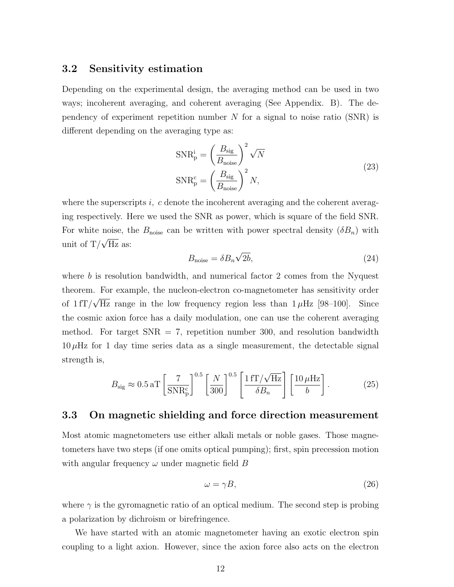#### 3.2 Sensitivity estimation

Depending on the experimental design, the averaging method can be used in two ways; incoherent averaging, and coherent averaging (See Appendix. B). The dependency of experiment repetition number  $N$  for a signal to noise ratio (SNR) is different depending on the averaging type as:

$$
SNR_{p}^{i} = \left(\frac{B_{sig}}{B_{noise}}\right)^{2} \sqrt{N}
$$
  
\n
$$
SNR_{p}^{c} = \left(\frac{B_{sig}}{B_{noise}}\right)^{2} N,
$$
\n(23)

where the superscripts  $i$ , c denote the incoherent averaging and the coherent averaging respectively. Here we used the SNR as power, which is square of the field SNR. For white noise, the  $B_{\text{noise}}$  can be written with power spectral density  $(\delta B_n)$  with unit of T/ $\sqrt{Hz}$  as: √

$$
B_{\text{noise}} = \delta B_n \sqrt{2b},\tag{24}
$$

where  $b$  is resolution bandwidth, and numerical factor 2 comes from the Nyquest theorem. For example, the nucleon-electron co-magnetometer has sensitivity order of  $1 fT/$  $^{\cdot}$  , Hz range in the low frequency region less than  $1 \mu$ Hz [98–100]. Since the cosmic axion force has a daily modulation, one can use the coherent averaging method. For target  $SNR = 7$ , repetition number 300, and resolution bandwidth  $10 \mu$ Hz for 1 day time series data as a single measurement, the detectable signal strength is,

$$
B_{\rm sig} \approx 0.5 \,\mathrm{aT} \left[ \frac{7}{\mathrm{SNR_p^c}} \right]^{0.5} \left[ \frac{N}{300} \right]^{0.5} \left[ \frac{1 \,\mathrm{fT}/\sqrt{\mathrm{Hz}}}{\delta B_n} \right] \left[ \frac{10 \,\mu \mathrm{Hz}}{b} \right]. \tag{25}
$$

## 3.3 On magnetic shielding and force direction measurement

Most atomic magnetometers use either alkali metals or noble gases. Those magnetometers have two steps (if one omits optical pumping); first, spin precession motion with angular frequency  $\omega$  under magnetic field B

$$
\omega = \gamma B,\tag{26}
$$

where  $\gamma$  is the gyromagnetic ratio of an optical medium. The second step is probing a polarization by dichroism or birefringence.

We have started with an atomic magnetometer having an exotic electron spin coupling to a light axion. However, since the axion force also acts on the electron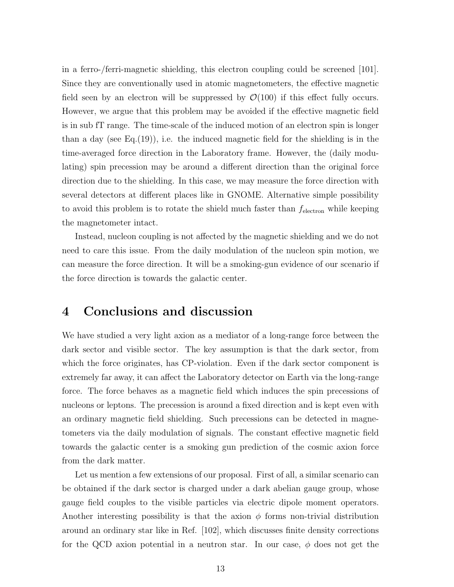in a ferro-/ferri-magnetic shielding, this electron coupling could be screened [101]. Since they are conventionally used in atomic magnetometers, the effective magnetic field seen by an electron will be suppressed by  $\mathcal{O}(100)$  if this effect fully occurs. However, we argue that this problem may be avoided if the effective magnetic field is in sub fT range. The time-scale of the induced motion of an electron spin is longer than a day (see Eq.  $(19)$ ), i.e. the induced magnetic field for the shielding is in the time-averaged force direction in the Laboratory frame. However, the (daily modulating) spin precession may be around a different direction than the original force direction due to the shielding. In this case, we may measure the force direction with several detectors at different places like in GNOME. Alternative simple possibility to avoid this problem is to rotate the shield much faster than  $f_{\text{electron}}$  while keeping the magnetometer intact.

Instead, nucleon coupling is not affected by the magnetic shielding and we do not need to care this issue. From the daily modulation of the nucleon spin motion, we can measure the force direction. It will be a smoking-gun evidence of our scenario if the force direction is towards the galactic center.

## 4 Conclusions and discussion

We have studied a very light axion as a mediator of a long-range force between the dark sector and visible sector. The key assumption is that the dark sector, from which the force originates, has CP-violation. Even if the dark sector component is extremely far away, it can affect the Laboratory detector on Earth via the long-range force. The force behaves as a magnetic field which induces the spin precessions of nucleons or leptons. The precession is around a fixed direction and is kept even with an ordinary magnetic field shielding. Such precessions can be detected in magnetometers via the daily modulation of signals. The constant effective magnetic field towards the galactic center is a smoking gun prediction of the cosmic axion force from the dark matter.

Let us mention a few extensions of our proposal. First of all, a similar scenario can be obtained if the dark sector is charged under a dark abelian gauge group, whose gauge field couples to the visible particles via electric dipole moment operators. Another interesting possibility is that the axion  $\phi$  forms non-trivial distribution around an ordinary star like in Ref. [102], which discusses finite density corrections for the QCD axion potential in a neutron star. In our case,  $\phi$  does not get the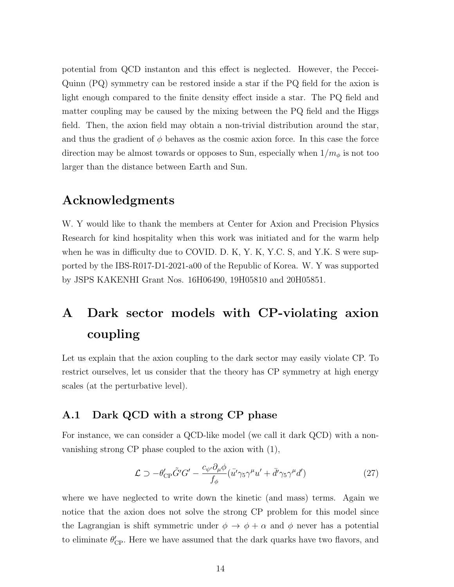potential from QCD instanton and this effect is neglected. However, the Peccei-Quinn (PQ) symmetry can be restored inside a star if the PQ field for the axion is light enough compared to the finite density effect inside a star. The PQ field and matter coupling may be caused by the mixing between the PQ field and the Higgs field. Then, the axion field may obtain a non-trivial distribution around the star, and thus the gradient of  $\phi$  behaves as the cosmic axion force. In this case the force direction may be almost towards or opposes to Sun, especially when  $1/m_{\phi}$  is not too larger than the distance between Earth and Sun.

## Acknowledgments

W. Y would like to thank the members at Center for Axion and Precision Physics Research for kind hospitality when this work was initiated and for the warm help when he was in difficulty due to COVID. D. K, Y. K, Y.C. S, and Y.K. S were supported by the IBS-R017-D1-2021-a00 of the Republic of Korea. W. Y was supported by JSPS KAKENHI Grant Nos. 16H06490, 19H05810 and 20H05851.

# A Dark sector models with CP-violating axion coupling

Let us explain that the axion coupling to the dark sector may easily violate CP. To restrict ourselves, let us consider that the theory has CP symmetry at high energy scales (at the perturbative level).

## A.1 Dark QCD with a strong CP phase

For instance, we can consider a QCD-like model (we call it dark QCD) with a nonvanishing strong CP phase coupled to the axion with (1),

$$
\mathcal{L} \supset -\theta'_{\rm CP} \tilde{G}' G' - \frac{c_{\psi'} \partial_{\mu} \phi}{f_{\phi}} (\bar{u'} \gamma_5 \gamma^{\mu} u' + \bar{d'} \gamma_5 \gamma^{\mu} d') \tag{27}
$$

where we have neglected to write down the kinetic (and mass) terms. Again we notice that the axion does not solve the strong CP problem for this model since the Lagrangian is shift symmetric under  $\phi \to \phi + \alpha$  and  $\phi$  never has a potential to eliminate  $\theta_{\rm CP}'$ . Here we have assumed that the dark quarks have two flavors, and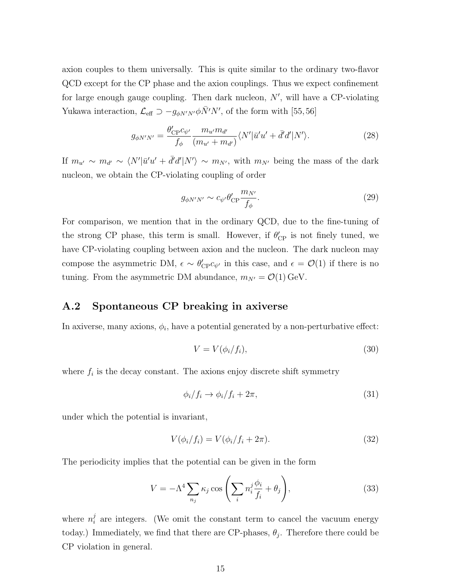axion couples to them universally. This is quite similar to the ordinary two-flavor QCD except for the CP phase and the axion couplings. Thus we expect confinement for large enough gauge coupling. Then dark nucleon,  $N'$ , will have a CP-violating Yukawa interaction,  $\mathcal{L}_{\text{eff}} \supset -g_{\phi N'N'} \phi \bar{N}'N'$ , of the form with [55, 56]

$$
g_{\phi N'N'} = \frac{\theta'_{\rm CP} c_{\psi'}}{f_{\phi}} \frac{m_{u'} m_{d'}}{(m_{u'} + m_{d'})} \langle N' | \bar{u}' u' + \bar{d}' d' | N' \rangle.
$$
 (28)

If  $m_{u'} \sim m_{d'} \sim \langle N' | \bar{u}' u' + \bar{d}' d' | N' \rangle \sim m_{N'}$ , with  $m_{N'}$  being the mass of the dark nucleon, we obtain the CP-violating coupling of order

$$
g_{\phi N'N'} \sim c_{\psi'} \theta_{\rm CP}' \frac{m_{N'}}{f_{\phi}}.\tag{29}
$$

For comparison, we mention that in the ordinary QCD, due to the fine-tuning of the strong CP phase, this term is small. However, if  $\theta'_{\rm CP}$  is not finely tuned, we have CP-violating coupling between axion and the nucleon. The dark nucleon may compose the asymmetric DM,  $\epsilon \sim \theta'_{CP} c_{\psi'}$  in this case, and  $\epsilon = \mathcal{O}(1)$  if there is no tuning. From the asymmetric DM abundance,  $m_{N'} = \mathcal{O}(1) \,\text{GeV}$ .

## A.2 Spontaneous CP breaking in axiverse

In axiverse, many axions,  $\phi_i$ , have a potential generated by a non-perturbative effect:

$$
V = V(\phi_i/f_i),\tag{30}
$$

where  $f_i$  is the decay constant. The axions enjoy discrete shift symmetry

$$
\phi_i/f_i \to \phi_i/f_i + 2\pi,\tag{31}
$$

under which the potential is invariant,

$$
V(\phi_i/f_i) = V(\phi_i/f_i + 2\pi). \tag{32}
$$

The periodicity implies that the potential can be given in the form

$$
V = -\Lambda^4 \sum_{n_j} \kappa_j \cos \left( \sum_i n_i^j \frac{\phi_i}{f_i} + \theta_j \right), \tag{33}
$$

where  $n_i^j$  $i<sub>i</sub>$  are integers. (We omit the constant term to cancel the vacuum energy today.) Immediately, we find that there are CP-phases,  $\theta_j$ . Therefore there could be CP violation in general.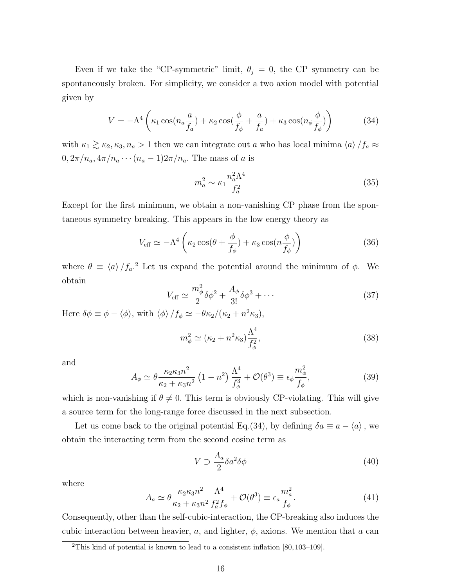Even if we take the "CP-symmetric" limit,  $\theta_j = 0$ , the CP symmetry can be spontaneously broken. For simplicity, we consider a two axion model with potential given by

$$
V = -\Lambda^4 \left( \kappa_1 \cos(n_a \frac{a}{f_a}) + \kappa_2 \cos(\frac{\phi}{f_\phi} + \frac{a}{f_a}) + \kappa_3 \cos(n_\phi \frac{\phi}{f_\phi}) \right) \tag{34}
$$

with  $\kappa_1 \gtrsim \kappa_2, \kappa_3, n_a > 1$  then we can integrate out a who has local minima  $\langle a \rangle /f_a \approx$  $0, 2\pi/n_a, 4\pi/n_a \cdots (n_a-1)2\pi/n_a$ . The mass of a is

$$
m_a^2 \sim \kappa_1 \frac{n_a^2 \Lambda^4}{f_a^2} \tag{35}
$$

Except for the first minimum, we obtain a non-vanishing CP phase from the spontaneous symmetry breaking. This appears in the low energy theory as

$$
V_{\text{eff}} \simeq -\Lambda^4 \left( \kappa_2 \cos(\theta + \frac{\phi}{f_\phi}) + \kappa_3 \cos(n\frac{\phi}{f_\phi}) \right) \tag{36}
$$

where  $\theta \equiv \langle a \rangle /f_a$ <sup>2</sup> Let us expand the potential around the minimum of  $\phi$ . We obtain

$$
V_{\text{eff}} \simeq \frac{m_{\phi}^2}{2} \delta \phi^2 + \frac{A_{\phi}}{3!} \delta \phi^3 + \cdots \tag{37}
$$

Here  $\delta \phi \equiv \phi - \langle \phi \rangle$ , with  $\langle \phi \rangle / f_{\phi} \simeq -\theta \kappa_2 / (\kappa_2 + n^2 \kappa_3)$ ,

$$
m_{\phi}^2 \simeq (\kappa_2 + n^2 \kappa_3) \frac{\Lambda^4}{f_{\phi}^2},\tag{38}
$$

and

$$
A_{\phi} \simeq \theta \frac{\kappa_2 \kappa_3 n^2}{\kappa_2 + \kappa_3 n^2} \left(1 - n^2\right) \frac{\Lambda^4}{f_{\phi}^3} + \mathcal{O}(\theta^3) \equiv \epsilon_{\phi} \frac{m_{\phi}^2}{f_{\phi}},\tag{39}
$$

which is non-vanishing if  $\theta \neq 0$ . This term is obviously CP-violating. This will give a source term for the long-range force discussed in the next subsection.

Let us come back to the original potential Eq.(34), by defining  $\delta a \equiv a - \langle a \rangle$ , we obtain the interacting term from the second cosine term as

$$
V \supset \frac{A_a}{2} \delta a^2 \delta \phi \tag{40}
$$

where

$$
A_a \simeq \theta \frac{\kappa_2 \kappa_3 n^2}{\kappa_2 + \kappa_3 n^2} \frac{\Lambda^4}{f_a^2 f_\phi} + \mathcal{O}(\theta^3) \equiv \epsilon_a \frac{m_a^2}{f_\phi}.
$$
 (41)

Consequently, other than the self-cubic-interaction, the CP-breaking also induces the cubic interaction between heavier, a, and lighter,  $\phi$ , axions. We mention that a can

<sup>2</sup>This kind of potential is known to lead to a consistent inflation [80, 103–109].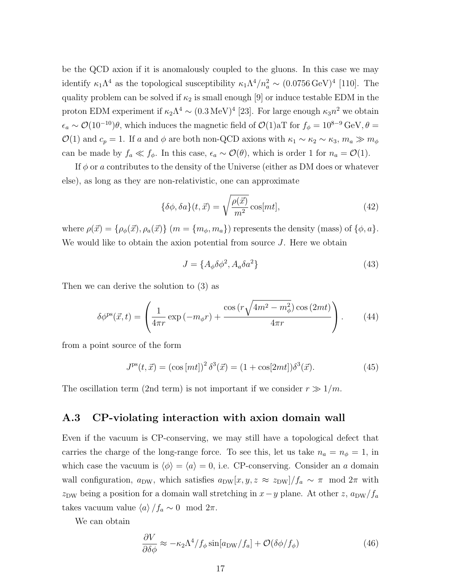be the QCD axion if it is anomalously coupled to the gluons. In this case we may identify  $\kappa_1 \Lambda^4$  as the topological susceptibility  $\kappa_1 \Lambda^4/n_a^2 \sim (0.0756 \,\text{GeV})^4$  [110]. The quality problem can be solved if  $\kappa_2$  is small enough [9] or induce testable EDM in the proton EDM experiment if  $\kappa_2 \Lambda^4 \sim (0.3 \,\text{MeV})^4$  [23]. For large enough  $\kappa_3 n^2$  we obtain  $\epsilon_a \sim \mathcal{O}(10^{-10})\theta$ , which induces the magnetic field of  $\mathcal{O}(1)$ aT for  $f_\phi = 10^{8-9}$  GeV,  $\theta =$ O(1) and  $c_p = 1$ . If a and  $\phi$  are both non-QCD axions with  $\kappa_1 \sim \kappa_2 \sim \kappa_3$ ,  $m_a \gg m_{\phi}$ can be made by  $f_a \ll f_\phi$ . In this case,  $\epsilon_a \sim \mathcal{O}(\theta)$ , which is order 1 for  $n_a = \mathcal{O}(1)$ .

If  $\phi$  or a contributes to the density of the Universe (either as DM does or whatever else), as long as they are non-relativistic, one can approximate

$$
\{\delta\phi, \delta a\}(t, \vec{x}) = \sqrt{\frac{\rho(\vec{x})}{m^2}} \cos(mt], \tag{42}
$$

where  $\rho(\vec{x}) = {\rho_{\phi}(\vec{x}), \rho_a(\vec{x})}$  ( $m = {m_{\phi}, m_a}$ ) represents the density (mass) of  ${\phi, a}$ . We would like to obtain the axion potential from source  $J$ . Here we obtain

$$
J = \{A_{\phi}\delta\phi^2, A_a\delta a^2\}
$$
\n<sup>(43)</sup>

Then we can derive the solution to (3) as

$$
\delta \phi^{\mathrm{ps}}(\vec{x},t) = \left(\frac{1}{4\pi r} \exp\left(-m_{\phi}r\right) + \frac{\cos\left(r\sqrt{4m^2 - m_{\phi}^2}\right)\cos\left(2mt\right)}{4\pi r}\right). \tag{44}
$$

from a point source of the form

$$
J^{ps}(t, \vec{x}) = (\cos [mt])^2 \delta^3(\vec{x}) = (1 + \cos[2mt])\delta^3(\vec{x}). \tag{45}
$$

The oscillation term (2nd term) is not important if we consider  $r \gg 1/m$ .

#### A.3 CP-violating interaction with axion domain wall

Even if the vacuum is CP-conserving, we may still have a topological defect that carries the charge of the long-range force. To see this, let us take  $n_a = n_\phi = 1$ , in which case the vacuum is  $\langle \phi \rangle = \langle a \rangle = 0$ , i.e. CP-conserving. Consider an a domain wall configuration,  $a_{\text{DW}}$ , which satisfies  $a_{\text{DW}}[x, y, z \approx z_{\text{DW}}]/f_a \sim \pi \mod 2\pi$  with z<sub>DW</sub> being a position for a domain wall stretching in  $x-y$  plane. At other z,  $a_{\text{DW}}/f_a$ takes vacuum value  $\langle a \rangle /f_a \sim 0 \mod 2\pi$ .

We can obtain

$$
\frac{\partial V}{\partial \delta \phi} \approx -\kappa_2 \Lambda^4 / f_\phi \sin[a_{\rm DW}/f_a] + \mathcal{O}(\delta \phi / f_\phi)
$$
 (46)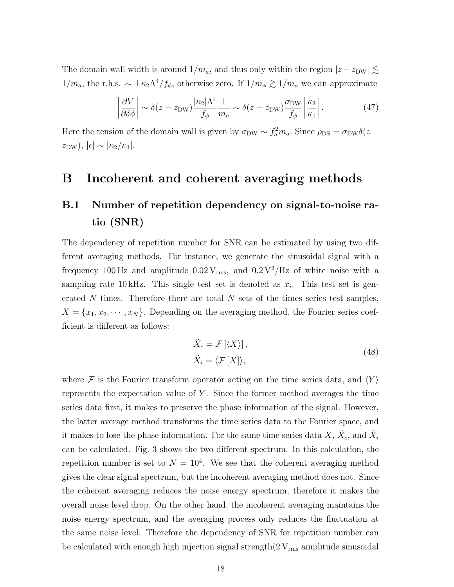The domain wall width is around  $1/m_a$ , and thus only within the region  $|z - z_{DW}| \lesssim$  $1/m_a$ , the r.h.s.  $\sim \pm \kappa_2 \Lambda^4/f_\phi$ , otherwise zero. If  $1/m_\phi \gtrsim 1/m_a$  we can approximate

$$
\left| \frac{\partial V}{\partial \delta \phi} \right| \sim \delta(z - z_{\rm DW}) \frac{|\kappa_2| \Lambda^4}{f_\phi} \frac{1}{m_a} \sim \delta(z - z_{\rm DW}) \frac{\sigma_{\rm DW}}{f_\phi} \left| \frac{\kappa_2}{\kappa_1} \right|.
$$
 (47)

Here the tension of the domain wall is given by  $\sigma_{DW} \sim f_a^2 m_a$ . Since  $\rho_{DS} = \sigma_{DW} \delta(z$  $z_{\rm DW}),$   $|\epsilon| \sim |\kappa_2/\kappa_1|.$ 

# B Incoherent and coherent averaging methods

# B.1 Number of repetition dependency on signal-to-noise ratio (SNR)

The dependency of repetition number for SNR can be estimated by using two different averaging methods. For instance, we generate the sinusoidal signal with a frequency 100 Hz and amplitude  $0.02 \text{ V}_{\rm rms}$ , and  $0.2 \text{ V}^2/\text{Hz}$  of white noise with a sampling rate 10 kHz. This single test set is denoted as  $x_i$ . This test set is generated  $N$  times. Therefore there are total  $N$  sets of the times series test samples,  $X = \{x_1, x_2, \cdots, x_N\}$ . Depending on the averaging method, the Fourier series coefficient is different as follows:

$$
\tilde{X}_c = \mathcal{F}[\langle X \rangle],
$$
\n
$$
\tilde{X}_i = \langle \mathcal{F}[X] \rangle,
$$
\n(48)

where F is the Fourier transform operator acting on the time series data, and  $\langle Y \rangle$ represents the expectation value of Y . Since the former method averages the time series data first, it makes to preserve the phase information of the signal. However, the latter average method transforms the time series data to the Fourier space, and it makes to lose the phase information. For the same time series data  $X, \tilde{X}_c$ , and  $\tilde{X}_i$ can be calculated. Fig. 3 shows the two different spectrum. In this calculation, the repetition number is set to  $N = 10<sup>4</sup>$ . We see that the coherent averaging method gives the clear signal spectrum, but the incoherent averaging method does not. Since the coherent averaging reduces the noise energy spectrum, therefore it makes the overall noise level drop. On the other hand, the incoherent averaging maintains the noise energy spectrum, and the averaging process only reduces the fluctuation at the same noise level. Therefore the dependency of SNR for repetition number can be calculated with enough high injection signal strength $(2 V_{\rm rms}$  amplitude sinusoidal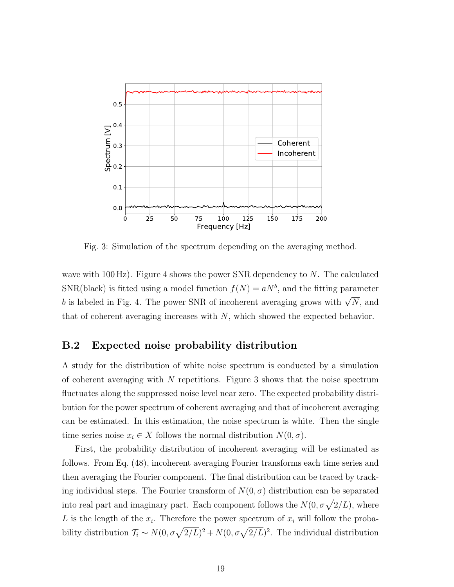

Fig. 3: Simulation of the spectrum depending on the averaging method.

wave with 100 Hz). Figure 4 shows the power SNR dependency to  $N$ . The calculated SNR(black) is fitted using a model function  $f(N) = aN<sup>b</sup>$ , and the fitting parameter b is labeled in Fig. 4. The power SNR of incoherent averaging grows with  $\sqrt{N}$ , and that of coherent averaging increases with  $N$ , which showed the expected behavior.

## B.2 Expected noise probability distribution

A study for the distribution of white noise spectrum is conducted by a simulation of coherent averaging with  $N$  repetitions. Figure 3 shows that the noise spectrum fluctuates along the suppressed noise level near zero. The expected probability distribution for the power spectrum of coherent averaging and that of incoherent averaging can be estimated. In this estimation, the noise spectrum is white. Then the single time series noise  $x_i \in X$  follows the normal distribution  $N(0, \sigma)$ .

First, the probability distribution of incoherent averaging will be estimated as follows. From Eq. (48), incoherent averaging Fourier transforms each time series and then averaging the Fourier component. The final distribution can be traced by tracking individual steps. The Fourier transform of  $N(0, \sigma)$  distribution can be separated into real part and imaginary part. Each component follows the  $N(0, \sigma \sqrt{2/L})$ , where L is the length of the  $x_i$ . Therefore the power spectrum of  $x_i$  will follow the probability distribution  $\mathcal{T}_i \sim N(0, \sigma \sqrt{2/L})^2 + N(0, \sigma \sqrt{2/L})^2$ . The individual distribution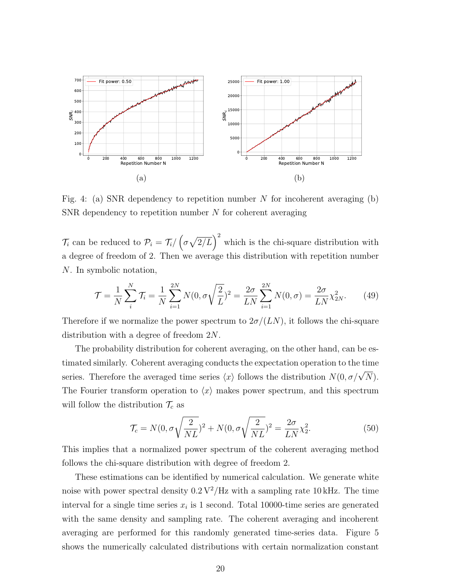

Fig. 4: (a) SNR dependency to repetition number N for incoherent averaging (b) SNR dependency to repetition number N for coherent averaging

 $\mathcal{T}_i$  can be reduced to  $\mathcal{P}_i = \mathcal{T}_i / (\sigma \sqrt{2/L})^2$  which is the chi-square distribution with a degree of freedom of 2. Then we average this distribution with repetition number N. In symbolic notation,

$$
\mathcal{T} = \frac{1}{N} \sum_{i}^{N} \mathcal{T}_{i} = \frac{1}{N} \sum_{i=1}^{2N} N(0, \sigma \sqrt{\frac{2}{L}})^{2} = \frac{2\sigma}{LN} \sum_{i=1}^{2N} N(0, \sigma) = \frac{2\sigma}{LN} \chi_{2N}^{2}.
$$
 (49)

Therefore if we normalize the power spectrum to  $2\sigma/(LN)$ , it follows the chi-square distribution with a degree of freedom 2N.

The probability distribution for coherent averaging, on the other hand, can be estimated similarly. Coherent averaging conducts the expectation operation to the time series. Therefore the averaged time series  $\langle x \rangle$  follows the distribution  $N(0, \sigma/\sqrt{N})$ . The Fourier transform operation to  $\langle x \rangle$  makes power spectrum, and this spectrum will follow the distribution  $\mathcal{T}_c$  as

$$
\mathcal{T}_c = N(0, \sigma \sqrt{\frac{2}{NL}})^2 + N(0, \sigma \sqrt{\frac{2}{NL}})^2 = \frac{2\sigma}{LN} \chi_2^2.
$$
\n
$$
(50)
$$

This implies that a normalized power spectrum of the coherent averaging method follows the chi-square distribution with degree of freedom 2.

These estimations can be identified by numerical calculation. We generate white noise with power spectral density  $0.2 \frac{V^2}{Hz}$  with a sampling rate 10 kHz. The time interval for a single time series  $x_i$  is 1 second. Total 10000-time series are generated with the same density and sampling rate. The coherent averaging and incoherent averaging are performed for this randomly generated time-series data. Figure 5 shows the numerically calculated distributions with certain normalization constant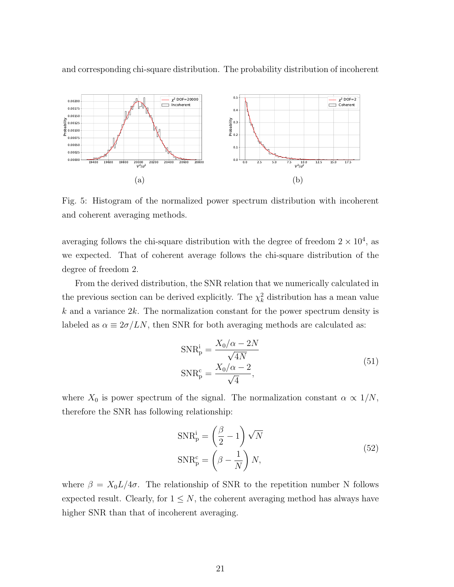

and corresponding chi-square distribution. The probability distribution of incoherent

Fig. 5: Histogram of the normalized power spectrum distribution with incoherent and coherent averaging methods.

averaging follows the chi-square distribution with the degree of freedom  $2 \times 10^4$ , as we expected. That of coherent average follows the chi-square distribution of the degree of freedom 2.

From the derived distribution, the SNR relation that we numerically calculated in the previous section can be derived explicitly. The  $\chi^2_k$  distribution has a mean value  $k$  and a variance  $2k$ . The normalization constant for the power spectrum density is labeled as  $\alpha \equiv 2\sigma/LN$ , then SNR for both averaging methods are calculated as:

$$
SNR_p^i = \frac{X_0/\alpha - 2N}{\sqrt{4N}}
$$
  
\n
$$
SNR_p^c = \frac{X_0/\alpha - 2}{\sqrt{4}},
$$
\n(51)

where  $X_0$  is power spectrum of the signal. The normalization constant  $\alpha \propto 1/N$ , therefore the SNR has following relationship:

$$
SNR_{p}^{i} = \left(\frac{\beta}{2} - 1\right)\sqrt{N}
$$
  
\n
$$
SNR_{p}^{c} = \left(\beta - \frac{1}{N}\right)N,
$$
\n(52)

where  $\beta = X_0 L/4\sigma$ . The relationship of SNR to the repetition number N follows expected result. Clearly, for  $1 \leq N$ , the coherent averaging method has always have higher SNR than that of incoherent averaging.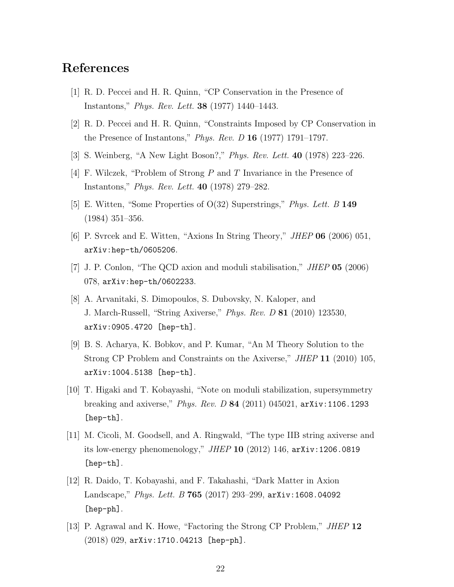# References

- [1] R. D. Peccei and H. R. Quinn, "CP Conservation in the Presence of Instantons," Phys. Rev. Lett. 38 (1977) 1440–1443.
- [2] R. D. Peccei and H. R. Quinn, "Constraints Imposed by CP Conservation in the Presence of Instantons," *Phys. Rev. D* 16 (1977) 1791–1797.
- [3] S. Weinberg, "A New Light Boson?," Phys. Rev. Lett. 40 (1978) 223–226.
- [4] F. Wilczek, "Problem of Strong P and T Invariance in the Presence of Instantons," Phys. Rev. Lett. 40 (1978) 279–282.
- [5] E. Witten, "Some Properties of O(32) Superstrings," Phys. Lett. B 149 (1984) 351–356.
- [6] P. Svrcek and E. Witten, "Axions In String Theory," JHEP 06 (2006) 051, arXiv:hep-th/0605206.
- [7] J. P. Conlon, "The QCD axion and moduli stabilisation," JHEP 05 (2006) 078, arXiv:hep-th/0602233.
- [8] A. Arvanitaki, S. Dimopoulos, S. Dubovsky, N. Kaloper, and J. March-Russell, "String Axiverse," Phys. Rev. D 81 (2010) 123530, arXiv:0905.4720 [hep-th].
- [9] B. S. Acharya, K. Bobkov, and P. Kumar, "An M Theory Solution to the Strong CP Problem and Constraints on the Axiverse," JHEP 11 (2010) 105, arXiv:1004.5138 [hep-th].
- [10] T. Higaki and T. Kobayashi, "Note on moduli stabilization, supersymmetry breaking and axiverse," *Phys. Rev. D* 84 (2011) 045021,  $arXiv:1106.1293$ [hep-th].
- [11] M. Cicoli, M. Goodsell, and A. Ringwald, "The type IIB string axiverse and its low-energy phenomenology," JHEP 10 (2012) 146, arXiv:1206.0819 [hep-th].
- [12] R. Daido, T. Kobayashi, and F. Takahashi, "Dark Matter in Axion Landscape," Phys. Lett. B 765 (2017) 293-299,  $arXiv:1608.04092$ [hep-ph].
- [13] P. Agrawal and K. Howe, "Factoring the Strong CP Problem," JHEP 12 (2018) 029, arXiv:1710.04213 [hep-ph].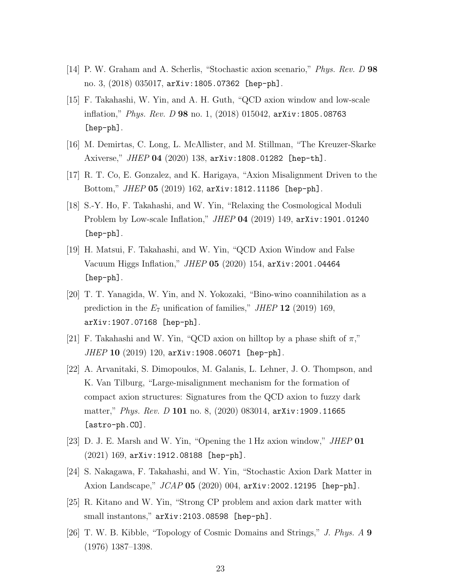- [14] P. W. Graham and A. Scherlis, "Stochastic axion scenario," Phys. Rev. D 98 no. 3, (2018) 035017, arXiv:1805.07362 [hep-ph].
- [15] F. Takahashi, W. Yin, and A. H. Guth, "QCD axion window and low-scale inflation," Phys. Rev. D 98 no. 1, (2018) 015042, arXiv:1805.08763 [hep-ph].
- [16] M. Demirtas, C. Long, L. McAllister, and M. Stillman, "The Kreuzer-Skarke Axiverse," JHEP 04 (2020) 138, arXiv:1808.01282 [hep-th].
- [17] R. T. Co, E. Gonzalez, and K. Harigaya, "Axion Misalignment Driven to the Bottom," JHEP 05 (2019) 162, arXiv:1812.11186 [hep-ph].
- [18] S.-Y. Ho, F. Takahashi, and W. Yin, "Relaxing the Cosmological Moduli Problem by Low-scale Inflation," JHEP 04 (2019) 149, arXiv:1901.01240 [hep-ph].
- [19] H. Matsui, F. Takahashi, and W. Yin, "QCD Axion Window and False Vacuum Higgs Inflation," JHEP 05 (2020) 154, arXiv:2001.04464 [hep-ph].
- [20] T. T. Yanagida, W. Yin, and N. Yokozaki, "Bino-wino coannihilation as a prediction in the  $E_7$  unification of families," JHEP 12 (2019) 169, arXiv:1907.07168 [hep-ph].
- [21] F. Takahashi and W. Yin, "QCD axion on hilltop by a phase shift of  $\pi$ ," JHEP 10 (2019) 120, arXiv:1908.06071 [hep-ph].
- [22] A. Arvanitaki, S. Dimopoulos, M. Galanis, L. Lehner, J. O. Thompson, and K. Van Tilburg, "Large-misalignment mechanism for the formation of compact axion structures: Signatures from the QCD axion to fuzzy dark matter," *Phys. Rev. D* 101 no. 8, (2020) 083014, arXiv:1909.11665 [astro-ph.CO].
- [23] D. J. E. Marsh and W. Yin, "Opening the 1 Hz axion window," JHEP 01 (2021) 169, arXiv:1912.08188 [hep-ph].
- [24] S. Nakagawa, F. Takahashi, and W. Yin, "Stochastic Axion Dark Matter in Axion Landscape," JCAP 05 (2020) 004, arXiv: 2002.12195 [hep-ph].
- [25] R. Kitano and W. Yin, "Strong CP problem and axion dark matter with small instantons,"  $arXiv:2103.08598$  [hep-ph].
- [26] T. W. B. Kibble, "Topology of Cosmic Domains and Strings," J. Phys. A 9 (1976) 1387–1398.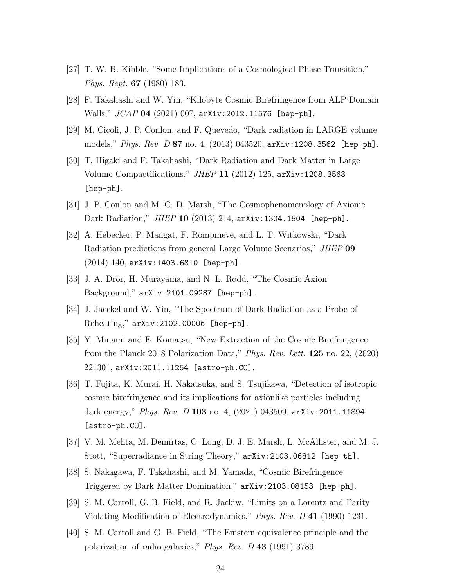- [27] T. W. B. Kibble, "Some Implications of a Cosmological Phase Transition," Phys. Rept. 67 (1980) 183.
- [28] F. Takahashi and W. Yin, "Kilobyte Cosmic Birefringence from ALP Domain Walls," JCAP 04 (2021) 007, arXiv:2012.11576 [hep-ph].
- [29] M. Cicoli, J. P. Conlon, and F. Quevedo, "Dark radiation in LARGE volume models," Phys. Rev. D 87 no. 4, (2013) 043520, arXiv:1208.3562 [hep-ph].
- [30] T. Higaki and F. Takahashi, "Dark Radiation and Dark Matter in Large Volume Compactifications," JHEP 11 (2012) 125, arXiv:1208.3563 [hep-ph].
- [31] J. P. Conlon and M. C. D. Marsh, "The Cosmophenomenology of Axionic Dark Radiation," JHEP 10 (2013) 214, arXiv:1304.1804 [hep-ph].
- [32] A. Hebecker, P. Mangat, F. Rompineve, and L. T. Witkowski, "Dark Radiation predictions from general Large Volume Scenarios," JHEP 09 (2014) 140, arXiv:1403.6810 [hep-ph].
- [33] J. A. Dror, H. Murayama, and N. L. Rodd, "The Cosmic Axion Background," arXiv:2101.09287 [hep-ph].
- [34] J. Jaeckel and W. Yin, "The Spectrum of Dark Radiation as a Probe of Reheating," arXiv:2102.00006 [hep-ph].
- [35] Y. Minami and E. Komatsu, "New Extraction of the Cosmic Birefringence from the Planck 2018 Polarization Data," Phys. Rev. Lett. 125 no. 22, (2020) 221301, arXiv:2011.11254 [astro-ph.CO].
- [36] T. Fujita, K. Murai, H. Nakatsuka, and S. Tsujikawa, "Detection of isotropic cosmic birefringence and its implications for axionlike particles including dark energy," *Phys. Rev. D* 103 no. 4, (2021) 043509, arXiv: 2011.11894 [astro-ph.CO].
- [37] V. M. Mehta, M. Demirtas, C. Long, D. J. E. Marsh, L. McAllister, and M. J. Stott, "Superradiance in String Theory," arXiv:2103.06812 [hep-th].
- [38] S. Nakagawa, F. Takahashi, and M. Yamada, "Cosmic Birefringence Triggered by Dark Matter Domination," arXiv:2103.08153 [hep-ph].
- [39] S. M. Carroll, G. B. Field, and R. Jackiw, "Limits on a Lorentz and Parity Violating Modification of Electrodynamics," Phys. Rev. D 41 (1990) 1231.
- [40] S. M. Carroll and G. B. Field, "The Einstein equivalence principle and the polarization of radio galaxies," Phys. Rev. D 43 (1991) 3789.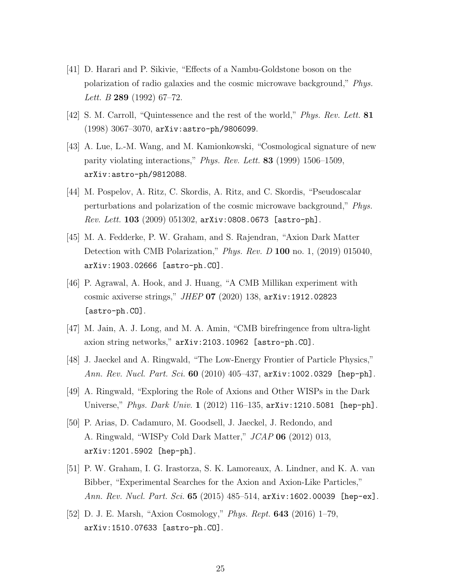- [41] D. Harari and P. Sikivie, "Effects of a Nambu-Goldstone boson on the polarization of radio galaxies and the cosmic microwave background," Phys. Lett. B  $289$  (1992) 67-72.
- [42] S. M. Carroll, "Quintessence and the rest of the world," Phys. Rev. Lett. 81 (1998) 3067–3070, arXiv:astro-ph/9806099.
- [43] A. Lue, L.-M. Wang, and M. Kamionkowski, "Cosmological signature of new parity violating interactions," Phys. Rev. Lett. 83 (1999) 1506–1509, arXiv:astro-ph/9812088.
- [44] M. Pospelov, A. Ritz, C. Skordis, A. Ritz, and C. Skordis, "Pseudoscalar perturbations and polarization of the cosmic microwave background," Phys. *Rev. Lett.* 103 (2009) 051302,  $arXiv:0808.0673$  [astro-ph].
- [45] M. A. Fedderke, P. W. Graham, and S. Rajendran, "Axion Dark Matter Detection with CMB Polarization," Phys. Rev. D 100 no. 1, (2019) 015040, arXiv:1903.02666 [astro-ph.CO].
- [46] P. Agrawal, A. Hook, and J. Huang, "A CMB Millikan experiment with cosmic axiverse strings," JHEP 07 (2020) 138, arXiv:1912.02823 [astro-ph.CO].
- [47] M. Jain, A. J. Long, and M. A. Amin, "CMB birefringence from ultra-light axion string networks," arXiv:2103.10962 [astro-ph.CO].
- [48] J. Jaeckel and A. Ringwald, "The Low-Energy Frontier of Particle Physics," Ann. Rev. Nucl. Part. Sci. 60 (2010) 405-437, arXiv:1002.0329 [hep-ph].
- [49] A. Ringwald, "Exploring the Role of Axions and Other WISPs in the Dark Universe," Phys. Dark Univ. 1 (2012) 116-135, arXiv: 1210.5081 [hep-ph].
- [50] P. Arias, D. Cadamuro, M. Goodsell, J. Jaeckel, J. Redondo, and A. Ringwald, "WISPy Cold Dark Matter," JCAP 06 (2012) 013, arXiv:1201.5902 [hep-ph].
- [51] P. W. Graham, I. G. Irastorza, S. K. Lamoreaux, A. Lindner, and K. A. van Bibber, "Experimental Searches for the Axion and Axion-Like Particles," Ann. Rev. Nucl. Part. Sci. **65** (2015) 485–514, arXiv: 1602.00039 [hep-ex].
- [52] D. J. E. Marsh, "Axion Cosmology," Phys. Rept. 643 (2016) 1–79, arXiv:1510.07633 [astro-ph.CO].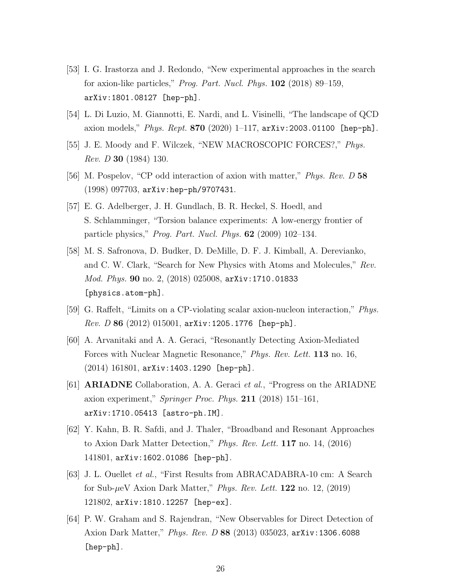- [53] I. G. Irastorza and J. Redondo, "New experimental approaches in the search for axion-like particles," Prog. Part. Nucl. Phys. 102 (2018) 89–159, arXiv:1801.08127 [hep-ph].
- [54] L. Di Luzio, M. Giannotti, E. Nardi, and L. Visinelli, "The landscape of QCD axion models," *Phys. Rept.* 870 (2020) 1–117,  $arXiv:2003.01100$  [hep-ph].
- [55] J. E. Moody and F. Wilczek, "NEW MACROSCOPIC FORCES?," *Phys.* Rev. D 30 (1984) 130.
- [56] M. Pospelov, "CP odd interaction of axion with matter," *Phys. Rev. D* 58 (1998) 097703, arXiv:hep-ph/9707431.
- [57] E. G. Adelberger, J. H. Gundlach, B. R. Heckel, S. Hoedl, and S. Schlamminger, "Torsion balance experiments: A low-energy frontier of particle physics," Prog. Part. Nucl. Phys. 62 (2009) 102–134.
- [58] M. S. Safronova, D. Budker, D. DeMille, D. F. J. Kimball, A. Derevianko, and C. W. Clark, "Search for New Physics with Atoms and Molecules," Rev. Mod. Phys. 90 no. 2, (2018) 025008, arXiv:1710.01833 [physics.atom-ph].
- [59] G. Raffelt, "Limits on a CP-violating scalar axion-nucleon interaction," Phys.  $Rev. D$  86 (2012) 015001,  $arXiv: 1205.1776$  [hep-ph].
- [60] A. Arvanitaki and A. A. Geraci, "Resonantly Detecting Axion-Mediated Forces with Nuclear Magnetic Resonance," Phys. Rev. Lett. 113 no. 16, (2014) 161801, arXiv:1403.1290 [hep-ph].
- [61] ARIADNE Collaboration, A. A. Geraci et al., "Progress on the ARIADNE axion experiment," Springer Proc. Phys. 211 (2018) 151–161, arXiv:1710.05413 [astro-ph.IM].
- [62] Y. Kahn, B. R. Safdi, and J. Thaler, "Broadband and Resonant Approaches to Axion Dark Matter Detection," Phys. Rev. Lett. 117 no. 14, (2016) 141801, arXiv:1602.01086 [hep-ph].
- [63] J. L. Ouellet et al., "First Results from ABRACADABRA-10 cm: A Search for Sub- $\mu$ eV Axion Dark Matter," *Phys. Rev. Lett.* 122 no. 12, (2019) 121802, arXiv:1810.12257 [hep-ex].
- [64] P. W. Graham and S. Rajendran, "New Observables for Direct Detection of Axion Dark Matter," Phys. Rev. D 88 (2013) 035023, arXiv:1306.6088 [hep-ph].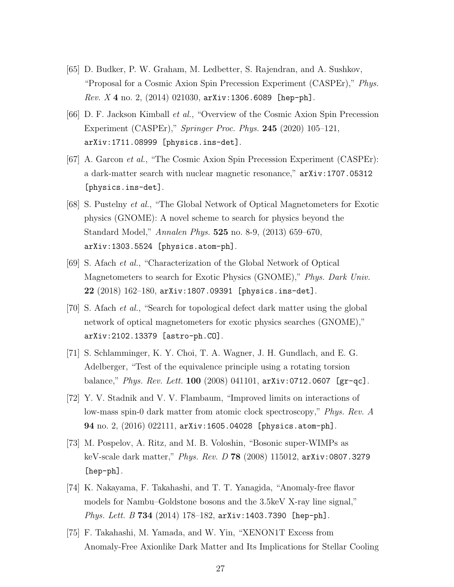- [65] D. Budker, P. W. Graham, M. Ledbetter, S. Rajendran, and A. Sushkov, "Proposal for a Cosmic Axion Spin Precession Experiment (CASPEr)," Phys.  $Rev. X 4 no. 2, (2014) 021030, arXiv: 1306.6089 [hep-ph].$
- [66] D. F. Jackson Kimball et al., "Overview of the Cosmic Axion Spin Precession Experiment (CASPEr)," Springer Proc. Phys. 245 (2020) 105–121, arXiv:1711.08999 [physics.ins-det].
- [67] A. Garcon et al., "The Cosmic Axion Spin Precession Experiment (CASPEr): a dark-matter search with nuclear magnetic resonance," arXiv:1707.05312 [physics.ins-det].
- [68] S. Pustelny et al., "The Global Network of Optical Magnetometers for Exotic physics (GNOME): A novel scheme to search for physics beyond the Standard Model," Annalen Phys. 525 no. 8-9, (2013) 659–670, arXiv:1303.5524 [physics.atom-ph].
- [69] S. Afach et al., "Characterization of the Global Network of Optical Magnetometers to search for Exotic Physics (GNOME)," Phys. Dark Univ. 22 (2018) 162–180, arXiv:1807.09391 [physics.ins-det].
- [70] S. Afach et al., "Search for topological defect dark matter using the global network of optical magnetometers for exotic physics searches (GNOME)," arXiv:2102.13379 [astro-ph.CO].
- [71] S. Schlamminger, K. Y. Choi, T. A. Wagner, J. H. Gundlach, and E. G. Adelberger, "Test of the equivalence principle using a rotating torsion balance," Phys. Rev. Lett. 100 (2008) 041101,  $arXiv:0712.0607$  [gr-qc].
- [72] Y. V. Stadnik and V. V. Flambaum, "Improved limits on interactions of low-mass spin-0 dark matter from atomic clock spectroscopy," Phys. Rev. A 94 no. 2, (2016) 022111, arXiv:1605.04028 [physics.atom-ph].
- [73] M. Pospelov, A. Ritz, and M. B. Voloshin, "Bosonic super-WIMPs as keV-scale dark matter," Phys. Rev. D 78 (2008) 115012, arXiv:0807.3279 [hep-ph].
- [74] K. Nakayama, F. Takahashi, and T. T. Yanagida, "Anomaly-free flavor models for Nambu–Goldstone bosons and the 3.5keV X-ray line signal," Phys. Lett. B 734 (2014) 178-182,  $arXiv:1403.7390$  [hep-ph].
- [75] F. Takahashi, M. Yamada, and W. Yin, "XENON1T Excess from Anomaly-Free Axionlike Dark Matter and Its Implications for Stellar Cooling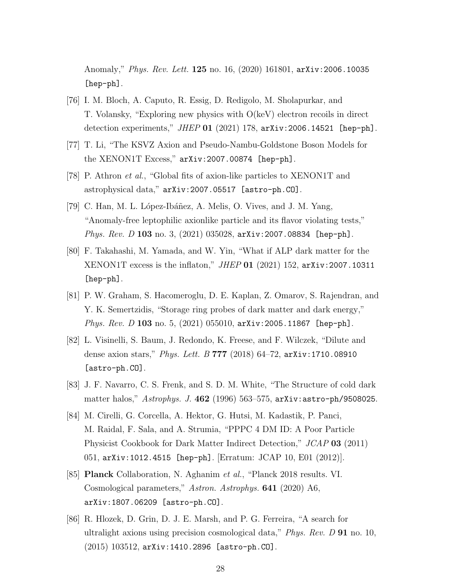Anomaly," Phys. Rev. Lett. 125 no. 16, (2020) 161801, arXiv:2006.10035 [hep-ph].

- [76] I. M. Bloch, A. Caputo, R. Essig, D. Redigolo, M. Sholapurkar, and T. Volansky, "Exploring new physics with O(keV) electron recoils in direct detection experiments," JHEP 01 (2021) 178, arXiv: 2006.14521 [hep-ph].
- [77] T. Li, "The KSVZ Axion and Pseudo-Nambu-Goldstone Boson Models for the XENON1T Excess," arXiv:2007.00874 [hep-ph].
- [78] P. Athron et al., "Global fits of axion-like particles to XENON1T and astrophysical data," arXiv:2007.05517 [astro-ph.CO].
- [79] C. Han, M. L. López-Ibáñez, A. Melis, O. Vives, and J. M. Yang, "Anomaly-free leptophilic axionlike particle and its flavor violating tests," Phys. Rev. D 103 no. 3, (2021) 035028, arXiv: 2007.08834 [hep-ph].
- [80] F. Takahashi, M. Yamada, and W. Yin, "What if ALP dark matter for the XENON1T excess is the inflaton," JHEP 01 (2021) 152, arXiv:2007.10311 [hep-ph].
- [81] P. W. Graham, S. Hacomeroglu, D. E. Kaplan, Z. Omarov, S. Rajendran, and Y. K. Semertzidis, "Storage ring probes of dark matter and dark energy," *Phys. Rev. D* 103 no. 5,  $(2021)$  055010, arXiv: 2005.11867 [hep-ph].
- [82] L. Visinelli, S. Baum, J. Redondo, K. Freese, and F. Wilczek, "Dilute and dense axion stars," Phys. Lett. B 777 (2018)  $64-72$ , arXiv:1710.08910 [astro-ph.CO].
- [83] J. F. Navarro, C. S. Frenk, and S. D. M. White, "The Structure of cold dark matter halos," Astrophys. J. 462 (1996) 563–575, arXiv:astro-ph/9508025.
- [84] M. Cirelli, G. Corcella, A. Hektor, G. Hutsi, M. Kadastik, P. Panci, M. Raidal, F. Sala, and A. Strumia, "PPPC 4 DM ID: A Poor Particle Physicist Cookbook for Dark Matter Indirect Detection," JCAP 03 (2011) 051, arXiv:1012.4515 [hep-ph]. [Erratum: JCAP 10, E01 (2012)].
- [85] **Planck** Collaboration, N. Aghanim *et al.*, "Planck 2018 results. VI. Cosmological parameters," Astron. Astrophys. **641** (2020) A6, arXiv:1807.06209 [astro-ph.CO].
- [86] R. Hlozek, D. Grin, D. J. E. Marsh, and P. G. Ferreira, "A search for ultralight axions using precision cosmological data," *Phys. Rev. D* **91** no. 10,  $(2015)$   $103512$ ,  $arXiv:1410.2896$  [astro-ph.CO].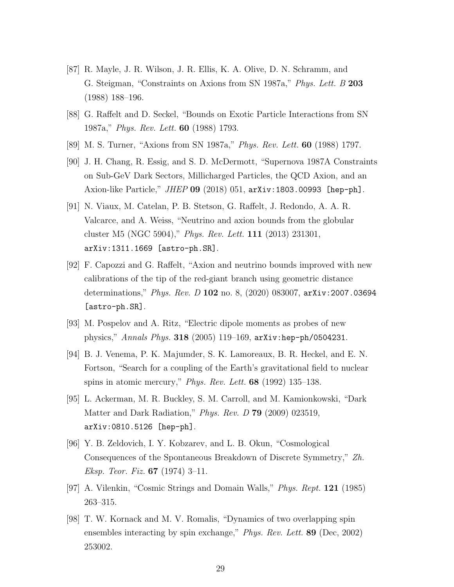- [87] R. Mayle, J. R. Wilson, J. R. Ellis, K. A. Olive, D. N. Schramm, and G. Steigman, "Constraints on Axions from SN 1987a," Phys. Lett. B 203 (1988) 188–196.
- [88] G. Raffelt and D. Seckel, "Bounds on Exotic Particle Interactions from SN 1987a," Phys. Rev. Lett. 60 (1988) 1793.
- [89] M. S. Turner, "Axions from SN 1987a," *Phys. Rev. Lett.* **60** (1988) 1797.
- [90] J. H. Chang, R. Essig, and S. D. McDermott, "Supernova 1987A Constraints on Sub-GeV Dark Sectors, Millicharged Particles, the QCD Axion, and an Axion-like Particle," JHEP 09 (2018) 051, arXiv:1803.00993 [hep-ph].
- [91] N. Viaux, M. Catelan, P. B. Stetson, G. Raffelt, J. Redondo, A. A. R. Valcarce, and A. Weiss, "Neutrino and axion bounds from the globular cluster M5 (NGC 5904)," Phys. Rev. Lett. 111 (2013) 231301, arXiv:1311.1669 [astro-ph.SR].
- [92] F. Capozzi and G. Raffelt, "Axion and neutrino bounds improved with new calibrations of the tip of the red-giant branch using geometric distance determinations," *Phys. Rev. D* 102 no. 8, (2020) 083007, arXiv: 2007.03694 [astro-ph.SR].
- [93] M. Pospelov and A. Ritz, "Electric dipole moments as probes of new physics," Annals Phys. 318 (2005) 119–169, arXiv:hep-ph/0504231.
- [94] B. J. Venema, P. K. Majumder, S. K. Lamoreaux, B. R. Heckel, and E. N. Fortson, "Search for a coupling of the Earth's gravitational field to nuclear spins in atomic mercury," Phys. Rev. Lett. **68** (1992) 135–138.
- [95] L. Ackerman, M. R. Buckley, S. M. Carroll, and M. Kamionkowski, "Dark Matter and Dark Radiation," *Phys. Rev. D* **79** (2009) 023519, arXiv:0810.5126 [hep-ph].
- [96] Y. B. Zeldovich, I. Y. Kobzarev, and L. B. Okun, "Cosmological Consequences of the Spontaneous Breakdown of Discrete Symmetry," Zh. *Eksp. Teor. Fiz.* **67** (1974) 3-11.
- [97] A. Vilenkin, "Cosmic Strings and Domain Walls," Phys. Rept. 121 (1985) 263–315.
- [98] T. W. Kornack and M. V. Romalis, "Dynamics of two overlapping spin ensembles interacting by spin exchange," *Phys. Rev. Lett.* **89** (Dec, 2002) 253002.